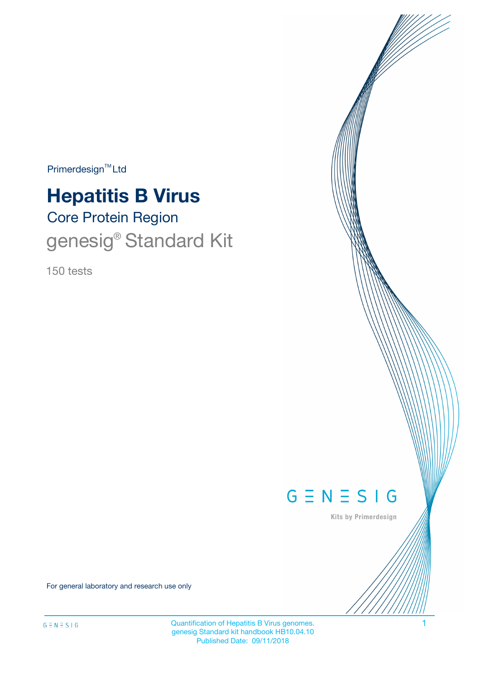$Primerdesign^{\text{TM}}Ltd$ 

# Core Protein Region **Hepatitis B Virus**

# genesig<sup>®</sup> Standard Kit

150 tests



Kits by Primerdesign

For general laboratory and research use only

Quantification of Hepatitis B Virus genomes. 1 genesig Standard kit handbook HB10.04.10 Published Date: 09/11/2018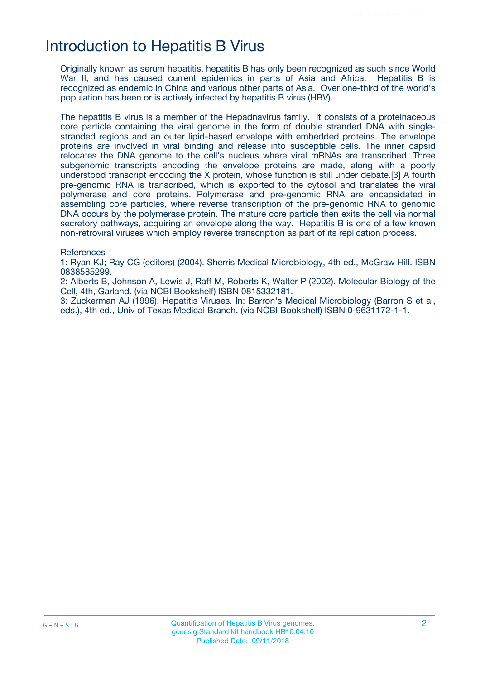## Introduction to Hepatitis B Virus

Originally known as serum hepatitis, hepatitis B has only been recognized as such since World War II, and has caused current epidemics in parts of Asia and Africa. Hepatitis B is recognized as endemic in China and various other parts of Asia. Over one-third of the world's population has been or is actively infected by hepatitis B virus (HBV).

The hepatitis B virus is a member of the Hepadnavirus family. It consists of a proteinaceous core particle containing the viral genome in the form of double stranded DNA with singlestranded regions and an outer lipid-based envelope with embedded proteins. The envelope proteins are involved in viral binding and release into susceptible cells. The inner capsid relocates the DNA genome to the cell's nucleus where viral mRNAs are transcribed. Three subgenomic transcripts encoding the envelope proteins are made, along with a poorly understood transcript encoding the X protein, whose function is still under debate.[3] A fourth pre-genomic RNA is transcribed, which is exported to the cytosol and translates the viral polymerase and core proteins. Polymerase and pre-genomic RNA are encapsidated in assembling core particles, where reverse transcription of the pre-genomic RNA to genomic DNA occurs by the polymerase protein. The mature core particle then exits the cell via normal secretory pathways, acquiring an envelope along the way. Hepatitis B is one of a few known non-retroviral viruses which employ reverse transcription as part of its replication process.

#### **References**

1: Ryan KJ; Ray CG (editors) (2004). Sherris Medical Microbiology, 4th ed., McGraw Hill. ISBN 0838585299.

2: Alberts B, Johnson A, Lewis J, Raff M, Roberts K, Walter P (2002). Molecular Biology of the Cell, 4th, Garland. (via NCBI Bookshelf) ISBN 0815332181.

3: Zuckerman AJ (1996). Hepatitis Viruses. In: Barron's Medical Microbiology (Barron S et al, eds.), 4th ed., Univ of Texas Medical Branch. (via NCBI Bookshelf) ISBN 0-9631172-1-1.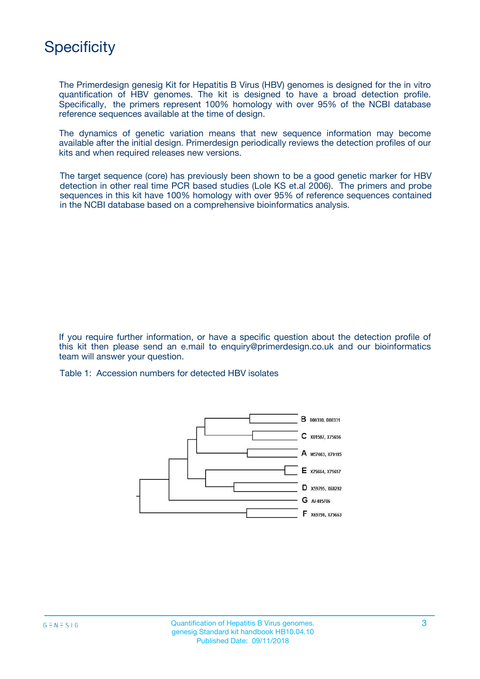## **Specificity**

The Primerdesign genesig Kit for Hepatitis B Virus (HBV) genomes is designed for the in vitro quantification of HBV genomes. The kit is designed to have a broad detection profile. Specifically, the primers represent 100% homology with over 95% of the NCBI database reference sequences available at the time of design.

The dynamics of genetic variation means that new sequence information may become available after the initial design. Primerdesign periodically reviews the detection profiles of our kits and when required releases new versions.

The target sequence (core) has previously been shown to be a good genetic marker for HBV detection in other real time PCR based studies (Lole KS et.al 2006). The primers and probe sequences in this kit have 100% homology with over 95% of reference sequences contained in the NCBI database based on a comprehensive bioinformatics analysis.

If you require further information, or have a specific question about the detection profile of this kit then please send an e.mail to enquiry@primerdesign.co.uk and our bioinformatics team will answer your question.

Table 1: Accession numbers for detected HBV isolates

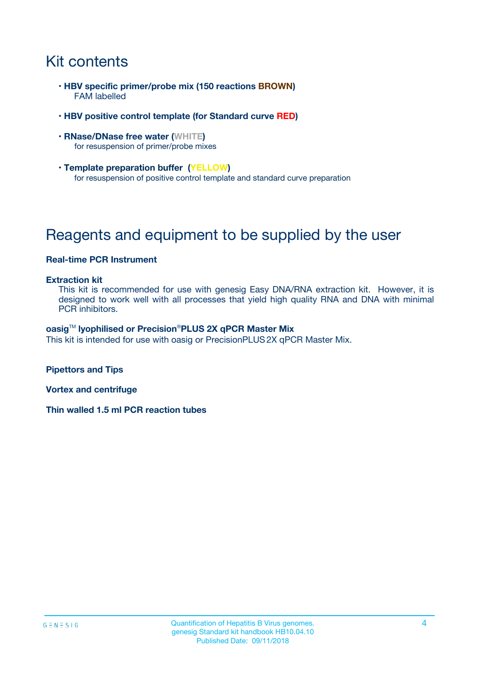# Kit contents

- **HBV specific primer/probe mix (150 reactions BROWN)** FAM labelled
- **HBV positive control template (for Standard curve RED)**
- **RNase/DNase free water (WHITE)** for resuspension of primer/probe mixes
- **Template preparation buffer (YELLOW)** for resuspension of positive control template and standard curve preparation

# Reagents and equipment to be supplied by the user

### **Real-time PCR Instrument**

#### **Extraction kit**

This kit is recommended for use with genesig Easy DNA/RNA extraction kit. However, it is designed to work well with all processes that yield high quality RNA and DNA with minimal PCR inhibitors.

#### **oasig**TM **lyophilised or Precision**®**PLUS 2X qPCR Master Mix**

This kit is intended for use with oasig or PrecisionPLUS2X qPCR Master Mix.

**Pipettors and Tips**

**Vortex and centrifuge**

**Thin walled 1.5 ml PCR reaction tubes**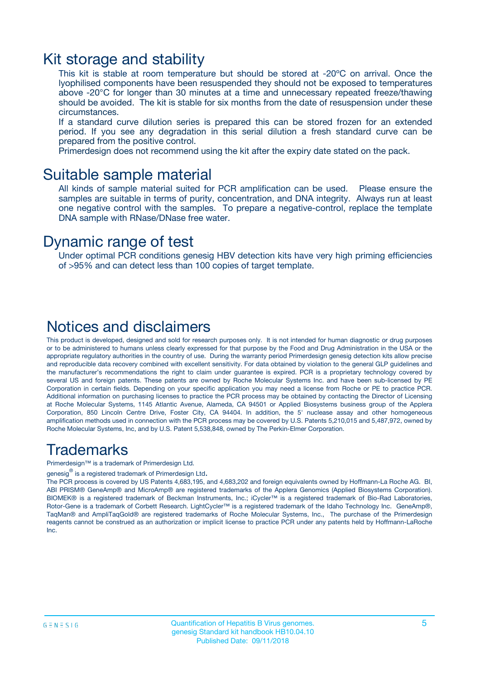### Kit storage and stability

This kit is stable at room temperature but should be stored at -20ºC on arrival. Once the lyophilised components have been resuspended they should not be exposed to temperatures above -20°C for longer than 30 minutes at a time and unnecessary repeated freeze/thawing should be avoided. The kit is stable for six months from the date of resuspension under these circumstances.

If a standard curve dilution series is prepared this can be stored frozen for an extended period. If you see any degradation in this serial dilution a fresh standard curve can be prepared from the positive control.

Primerdesign does not recommend using the kit after the expiry date stated on the pack.

### Suitable sample material

All kinds of sample material suited for PCR amplification can be used. Please ensure the samples are suitable in terms of purity, concentration, and DNA integrity. Always run at least one negative control with the samples. To prepare a negative-control, replace the template DNA sample with RNase/DNase free water.

### Dynamic range of test

Under optimal PCR conditions genesig HBV detection kits have very high priming efficiencies of >95% and can detect less than 100 copies of target template.

### Notices and disclaimers

This product is developed, designed and sold for research purposes only. It is not intended for human diagnostic or drug purposes or to be administered to humans unless clearly expressed for that purpose by the Food and Drug Administration in the USA or the appropriate regulatory authorities in the country of use. During the warranty period Primerdesign genesig detection kits allow precise and reproducible data recovery combined with excellent sensitivity. For data obtained by violation to the general GLP guidelines and the manufacturer's recommendations the right to claim under guarantee is expired. PCR is a proprietary technology covered by several US and foreign patents. These patents are owned by Roche Molecular Systems Inc. and have been sub-licensed by PE Corporation in certain fields. Depending on your specific application you may need a license from Roche or PE to practice PCR. Additional information on purchasing licenses to practice the PCR process may be obtained by contacting the Director of Licensing at Roche Molecular Systems, 1145 Atlantic Avenue, Alameda, CA 94501 or Applied Biosystems business group of the Applera Corporation, 850 Lincoln Centre Drive, Foster City, CA 94404. In addition, the 5' nuclease assay and other homogeneous amplification methods used in connection with the PCR process may be covered by U.S. Patents 5,210,015 and 5,487,972, owned by Roche Molecular Systems, Inc, and by U.S. Patent 5,538,848, owned by The Perkin-Elmer Corporation.

### Trademarks

Primerdesign™ is a trademark of Primerdesign Ltd.

genesig $^\circledR$  is a registered trademark of Primerdesign Ltd.

The PCR process is covered by US Patents 4,683,195, and 4,683,202 and foreign equivalents owned by Hoffmann-La Roche AG. BI, ABI PRISM® GeneAmp® and MicroAmp® are registered trademarks of the Applera Genomics (Applied Biosystems Corporation). BIOMEK® is a registered trademark of Beckman Instruments, Inc.; iCycler™ is a registered trademark of Bio-Rad Laboratories, Rotor-Gene is a trademark of Corbett Research. LightCycler™ is a registered trademark of the Idaho Technology Inc. GeneAmp®, TaqMan® and AmpliTaqGold® are registered trademarks of Roche Molecular Systems, Inc., The purchase of the Primerdesign reagents cannot be construed as an authorization or implicit license to practice PCR under any patents held by Hoffmann-LaRoche Inc.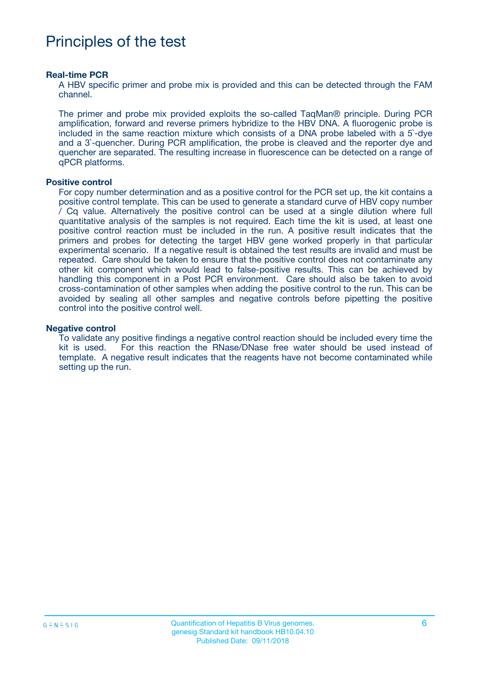## Principles of the test

#### **Real-time PCR**

A HBV specific primer and probe mix is provided and this can be detected through the FAM channel.

The primer and probe mix provided exploits the so-called TaqMan® principle. During PCR amplification, forward and reverse primers hybridize to the HBV DNA. A fluorogenic probe is included in the same reaction mixture which consists of a DNA probe labeled with a 5`-dye and a 3`-quencher. During PCR amplification, the probe is cleaved and the reporter dye and quencher are separated. The resulting increase in fluorescence can be detected on a range of qPCR platforms.

#### **Positive control**

For copy number determination and as a positive control for the PCR set up, the kit contains a positive control template. This can be used to generate a standard curve of HBV copy number / Cq value. Alternatively the positive control can be used at a single dilution where full quantitative analysis of the samples is not required. Each time the kit is used, at least one positive control reaction must be included in the run. A positive result indicates that the primers and probes for detecting the target HBV gene worked properly in that particular experimental scenario. If a negative result is obtained the test results are invalid and must be repeated. Care should be taken to ensure that the positive control does not contaminate any other kit component which would lead to false-positive results. This can be achieved by handling this component in a Post PCR environment. Care should also be taken to avoid cross-contamination of other samples when adding the positive control to the run. This can be avoided by sealing all other samples and negative controls before pipetting the positive control into the positive control well.

#### **Negative control**

To validate any positive findings a negative control reaction should be included every time the kit is used. For this reaction the RNase/DNase free water should be used instead of template. A negative result indicates that the reagents have not become contaminated while setting up the run.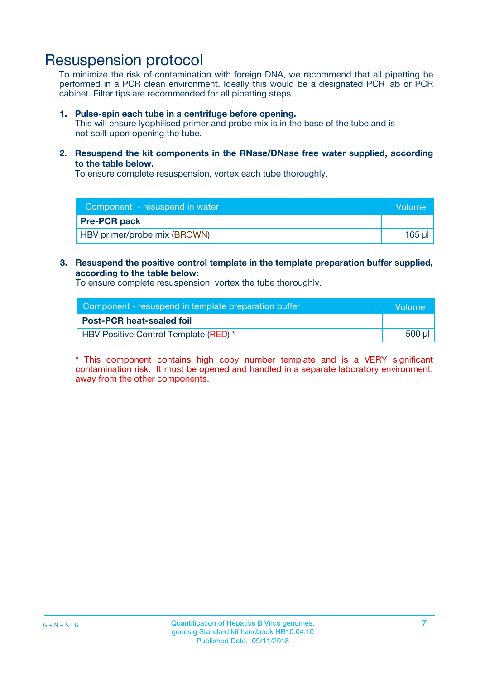### Resuspension protocol

To minimize the risk of contamination with foreign DNA, we recommend that all pipetting be performed in a PCR clean environment. Ideally this would be a designated PCR lab or PCR cabinet. Filter tips are recommended for all pipetting steps.

#### **1. Pulse-spin each tube in a centrifuge before opening.**

This will ensure lyophilised primer and probe mix is in the base of the tube and is not spilt upon opening the tube.

**2. Resuspend the kit components in the RNase/DNase free water supplied, according to the table below.**

To ensure complete resuspension, vortex each tube thoroughly.

| Component - resuspend in water      | Volume |
|-------------------------------------|--------|
| <b>Pre-PCR pack</b>                 |        |
| <b>HBV</b> primer/probe mix (BROWN) | 165 µl |

#### **3. Resuspend the positive control template in the template preparation buffer supplied, according to the table below:**

To ensure complete resuspension, vortex the tube thoroughly.

| Component - resuspend in template preparation buffer |        |  |
|------------------------------------------------------|--------|--|
| <b>Post-PCR heat-sealed foil</b>                     |        |  |
| HBV Positive Control Template (RED) *                | 500 µl |  |

\* This component contains high copy number template and is a VERY significant contamination risk. It must be opened and handled in a separate laboratory environment, away from the other components.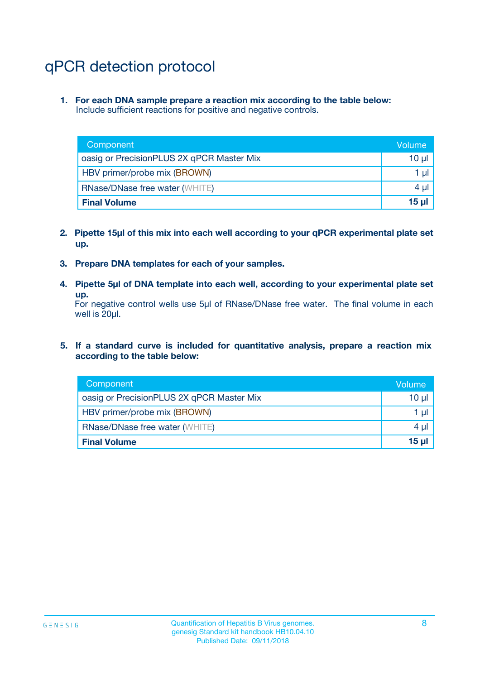# qPCR detection protocol

**1. For each DNA sample prepare a reaction mix according to the table below:** Include sufficient reactions for positive and negative controls.

| Component                                 | Volume          |
|-------------------------------------------|-----------------|
| oasig or PrecisionPLUS 2X qPCR Master Mix | 10 $\mu$        |
| HBV primer/probe mix (BROWN)              | 1 $\mu$         |
| <b>RNase/DNase free water (WHITE)</b>     | $4 \mu$         |
| <b>Final Volume</b>                       | 15 <sub>µ</sub> |

- **2. Pipette 15µl of this mix into each well according to your qPCR experimental plate set up.**
- **3. Prepare DNA templates for each of your samples.**
- **4. Pipette 5µl of DNA template into each well, according to your experimental plate set up.**

For negative control wells use 5µl of RNase/DNase free water. The final volume in each well is 20µl.

**5. If a standard curve is included for quantitative analysis, prepare a reaction mix according to the table below:**

| Component                                 | Volume     |
|-------------------------------------------|------------|
| oasig or PrecisionPLUS 2X qPCR Master Mix | $10 \mu$   |
| HBV primer/probe mix (BROWN)              | 1 µI       |
| <b>RNase/DNase free water (WHITE)</b>     | $4 \mu$    |
| <b>Final Volume</b>                       | $15$ $\mu$ |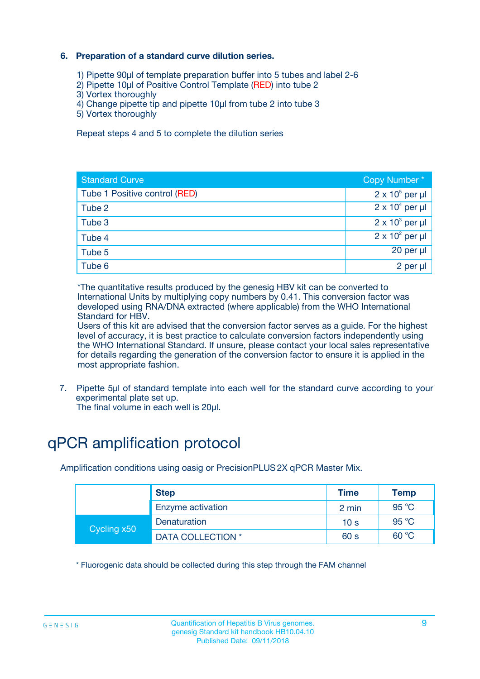### **6. Preparation of a standard curve dilution series.**

- 1) Pipette 90µl of template preparation buffer into 5 tubes and label 2-6
- 2) Pipette 10µl of Positive Control Template (RED) into tube 2
- 3) Vortex thoroughly
- 4) Change pipette tip and pipette 10µl from tube 2 into tube 3
- 5) Vortex thoroughly

Repeat steps 4 and 5 to complete the dilution series

| <b>Standard Curve</b>         | Copy Number*           |
|-------------------------------|------------------------|
| Tube 1 Positive control (RED) | $2 \times 10^5$ per µl |
| Tube 2                        | $2 \times 10^4$ per µl |
| Tube 3                        | $2 \times 10^3$ per µl |
| Tube 4                        | $2 \times 10^2$ per µl |
| Tube 5                        | 20 per $\mu$           |
| Tube 6                        | 2 per µl               |

\*The quantitative results produced by the genesig HBV kit can be converted to International Units by multiplying copy numbers by 0.41. This conversion factor was developed using RNA/DNA extracted (where applicable) from the WHO International Standard for HBV.

Users of this kit are advised that the conversion factor serves as a guide. For the highest level of accuracy, it is best practice to calculate conversion factors independently using the WHO International Standard. If unsure, please contact your local sales representative for details regarding the generation of the conversion factor to ensure it is applied in the most appropriate fashion.

7. Pipette 5µl of standard template into each well for the standard curve according to your experimental plate set up.

The final volume in each well is 20µl.

# qPCR amplification protocol

Amplification conditions using oasig or PrecisionPLUS2X qPCR Master Mix.

| <b>Step</b> |                   | <b>Time</b>     | Temp    |
|-------------|-------------------|-----------------|---------|
|             | Enzyme activation | 2 min           | 95 °C   |
| Cycling x50 | Denaturation      | 10 <sub>s</sub> | 95 $°C$ |
|             | DATA COLLECTION * | 60 s            | 60 °C   |

\* Fluorogenic data should be collected during this step through the FAM channel